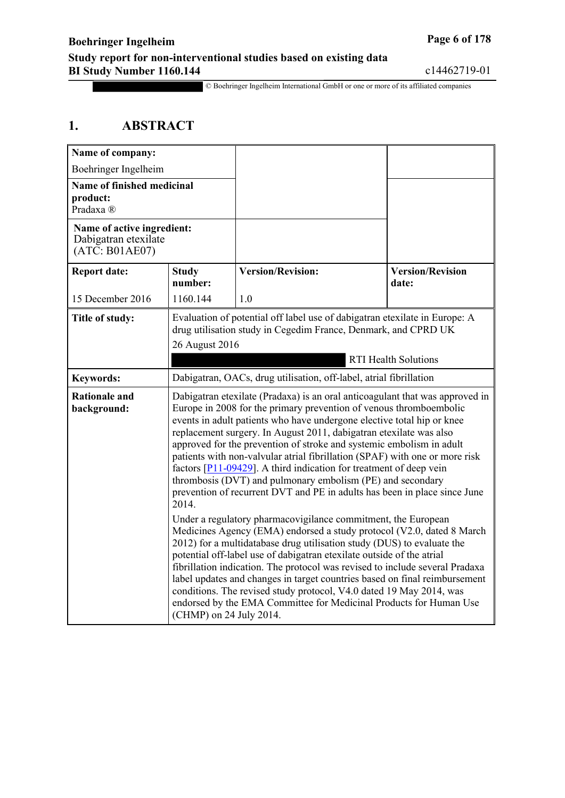© Boehringer Ingelheim International GmbH or one or more of its affiliated companies

## **1. ABSTRACT**

| Name of company:                                                      |                                                                                                                                                                                                                                                                                                                                                                                                                                                                                                                                                                                                                                                                                             |                                                                                                                                                                                                                                                                                                                                                                                                                                                                                                                                                                                                                                 |                                                                                                                                              |  |
|-----------------------------------------------------------------------|---------------------------------------------------------------------------------------------------------------------------------------------------------------------------------------------------------------------------------------------------------------------------------------------------------------------------------------------------------------------------------------------------------------------------------------------------------------------------------------------------------------------------------------------------------------------------------------------------------------------------------------------------------------------------------------------|---------------------------------------------------------------------------------------------------------------------------------------------------------------------------------------------------------------------------------------------------------------------------------------------------------------------------------------------------------------------------------------------------------------------------------------------------------------------------------------------------------------------------------------------------------------------------------------------------------------------------------|----------------------------------------------------------------------------------------------------------------------------------------------|--|
| Boehringer Ingelheim                                                  |                                                                                                                                                                                                                                                                                                                                                                                                                                                                                                                                                                                                                                                                                             |                                                                                                                                                                                                                                                                                                                                                                                                                                                                                                                                                                                                                                 |                                                                                                                                              |  |
| <b>Name of finished medicinal</b><br>product:<br>Pradaxa <sup>®</sup> |                                                                                                                                                                                                                                                                                                                                                                                                                                                                                                                                                                                                                                                                                             |                                                                                                                                                                                                                                                                                                                                                                                                                                                                                                                                                                                                                                 |                                                                                                                                              |  |
| Name of active ingredient:<br>Dabigatran etexilate<br>(ATC: B01AE07)  |                                                                                                                                                                                                                                                                                                                                                                                                                                                                                                                                                                                                                                                                                             |                                                                                                                                                                                                                                                                                                                                                                                                                                                                                                                                                                                                                                 |                                                                                                                                              |  |
| <b>Report date:</b>                                                   | <b>Study</b><br>number:                                                                                                                                                                                                                                                                                                                                                                                                                                                                                                                                                                                                                                                                     | <b>Version/Revision:</b>                                                                                                                                                                                                                                                                                                                                                                                                                                                                                                                                                                                                        | <b>Version/Revision</b><br>date:                                                                                                             |  |
| 15 December 2016                                                      | 1160.144                                                                                                                                                                                                                                                                                                                                                                                                                                                                                                                                                                                                                                                                                    | 1.0                                                                                                                                                                                                                                                                                                                                                                                                                                                                                                                                                                                                                             |                                                                                                                                              |  |
| Title of study:                                                       | 26 August 2016                                                                                                                                                                                                                                                                                                                                                                                                                                                                                                                                                                                                                                                                              |                                                                                                                                                                                                                                                                                                                                                                                                                                                                                                                                                                                                                                 | Evaluation of potential off label use of dabigatran etexilate in Europe: A<br>drug utilisation study in Cegedim France, Denmark, and CPRD UK |  |
|                                                                       | <b>RTI Health Solutions</b>                                                                                                                                                                                                                                                                                                                                                                                                                                                                                                                                                                                                                                                                 |                                                                                                                                                                                                                                                                                                                                                                                                                                                                                                                                                                                                                                 |                                                                                                                                              |  |
| <b>Keywords:</b>                                                      |                                                                                                                                                                                                                                                                                                                                                                                                                                                                                                                                                                                                                                                                                             | Dabigatran, OACs, drug utilisation, off-label, atrial fibrillation                                                                                                                                                                                                                                                                                                                                                                                                                                                                                                                                                              |                                                                                                                                              |  |
| <b>Rationale and</b><br>background:                                   | Dabigatran etexilate (Pradaxa) is an oral anticoagulant that was approved in<br>Europe in 2008 for the primary prevention of venous thromboembolic<br>events in adult patients who have undergone elective total hip or knee<br>replacement surgery. In August 2011, dabigatran etexilate was also<br>approved for the prevention of stroke and systemic embolism in adult<br>patients with non-valvular atrial fibrillation (SPAF) with one or more risk<br>factors $\sqrt{P11-09429}$ . A third indication for treatment of deep vein<br>thrombosis (DVT) and pulmonary embolism (PE) and secondary<br>prevention of recurrent DVT and PE in adults has been in place since June<br>2014. |                                                                                                                                                                                                                                                                                                                                                                                                                                                                                                                                                                                                                                 |                                                                                                                                              |  |
|                                                                       |                                                                                                                                                                                                                                                                                                                                                                                                                                                                                                                                                                                                                                                                                             | Under a regulatory pharmacovigilance commitment, the European<br>Medicines Agency (EMA) endorsed a study protocol (V2.0, dated 8 March<br>2012) for a multidatabase drug utilisation study (DUS) to evaluate the<br>potential off-label use of dabigatran etexilate outside of the atrial<br>fibrillation indication. The protocol was revised to include several Pradaxa<br>label updates and changes in target countries based on final reimbursement<br>conditions. The revised study protocol, V4.0 dated 19 May 2014, was<br>endorsed by the EMA Committee for Medicinal Products for Human Use<br>(CHMP) on 24 July 2014. |                                                                                                                                              |  |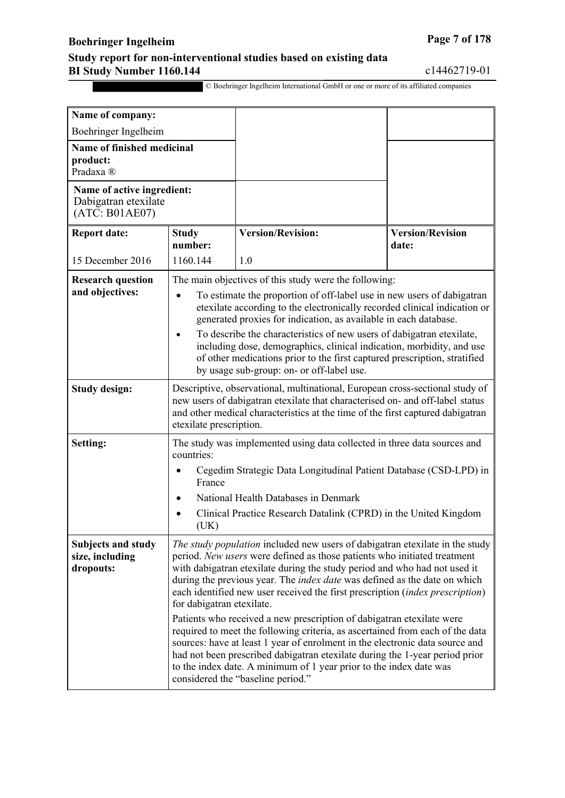## **Boehringer Ingelheim Page 7** of 178

#### **Study report for non-interventional studies based on existing data BI Study Number 1160.144** c14462719-01

| Name of company:                                                     |                                                                                                                                                                                                                                                                                                                                                                                                                                                                                                                                                                                                                                                                                                                                                                                                                                                                             |                                                                  |                                  |
|----------------------------------------------------------------------|-----------------------------------------------------------------------------------------------------------------------------------------------------------------------------------------------------------------------------------------------------------------------------------------------------------------------------------------------------------------------------------------------------------------------------------------------------------------------------------------------------------------------------------------------------------------------------------------------------------------------------------------------------------------------------------------------------------------------------------------------------------------------------------------------------------------------------------------------------------------------------|------------------------------------------------------------------|----------------------------------|
| Boehringer Ingelheim                                                 |                                                                                                                                                                                                                                                                                                                                                                                                                                                                                                                                                                                                                                                                                                                                                                                                                                                                             |                                                                  |                                  |
| Name of finished medicinal<br>product:<br>Pradaxa <sup>®</sup>       |                                                                                                                                                                                                                                                                                                                                                                                                                                                                                                                                                                                                                                                                                                                                                                                                                                                                             |                                                                  |                                  |
| Name of active ingredient:<br>Dabigatran etexilate<br>(ATC: B01AE07) |                                                                                                                                                                                                                                                                                                                                                                                                                                                                                                                                                                                                                                                                                                                                                                                                                                                                             |                                                                  |                                  |
| <b>Report date:</b>                                                  | <b>Study</b><br>number:                                                                                                                                                                                                                                                                                                                                                                                                                                                                                                                                                                                                                                                                                                                                                                                                                                                     | <b>Version/Revision:</b>                                         | <b>Version/Revision</b><br>date: |
| 15 December 2016                                                     | 1160.144                                                                                                                                                                                                                                                                                                                                                                                                                                                                                                                                                                                                                                                                                                                                                                                                                                                                    | 1.0                                                              |                                  |
| <b>Research question</b>                                             |                                                                                                                                                                                                                                                                                                                                                                                                                                                                                                                                                                                                                                                                                                                                                                                                                                                                             | The main objectives of this study were the following:            |                                  |
| and objectives:                                                      | To estimate the proportion of off-label use in new users of dabigatran<br>$\bullet$<br>etexilate according to the electronically recorded clinical indication or<br>generated proxies for indication, as available in each database.<br>To describe the characteristics of new users of dabigatran etexilate,<br>including dose, demographics, clinical indication, morbidity, and use<br>of other medications prior to the first captured prescription, stratified<br>by usage sub-group: on- or off-label use.                                                                                                                                                                                                                                                                                                                                                            |                                                                  |                                  |
| <b>Study design:</b>                                                 | Descriptive, observational, multinational, European cross-sectional study of<br>new users of dabigatran etexilate that characterised on- and off-label status<br>and other medical characteristics at the time of the first captured dabigatran<br>etexilate prescription.                                                                                                                                                                                                                                                                                                                                                                                                                                                                                                                                                                                                  |                                                                  |                                  |
| Setting:                                                             | The study was implemented using data collected in three data sources and<br>countries:                                                                                                                                                                                                                                                                                                                                                                                                                                                                                                                                                                                                                                                                                                                                                                                      |                                                                  |                                  |
|                                                                      | Cegedim Strategic Data Longitudinal Patient Database (CSD-LPD) in<br>France                                                                                                                                                                                                                                                                                                                                                                                                                                                                                                                                                                                                                                                                                                                                                                                                 |                                                                  |                                  |
|                                                                      |                                                                                                                                                                                                                                                                                                                                                                                                                                                                                                                                                                                                                                                                                                                                                                                                                                                                             | National Health Databases in Denmark                             |                                  |
|                                                                      | (UK)                                                                                                                                                                                                                                                                                                                                                                                                                                                                                                                                                                                                                                                                                                                                                                                                                                                                        | Clinical Practice Research Datalink (CPRD) in the United Kingdom |                                  |
| <b>Subjects and study</b><br>size, including<br>dropouts:            | The study population included new users of dabigatran etexilate in the study<br>period. New users were defined as those patients who initiated treatment<br>with dabigatran etexilate during the study period and who had not used it<br>during the previous year. The <i>index date</i> was defined as the date on which<br>each identified new user received the first prescription (index prescription)<br>for dabigatran etexilate.<br>Patients who received a new prescription of dabigatran etexilate were<br>required to meet the following criteria, as ascertained from each of the data<br>sources: have at least 1 year of enrolment in the electronic data source and<br>had not been prescribed dabigatran etexilate during the 1-year period prior<br>to the index date. A minimum of 1 year prior to the index date was<br>considered the "baseline period." |                                                                  |                                  |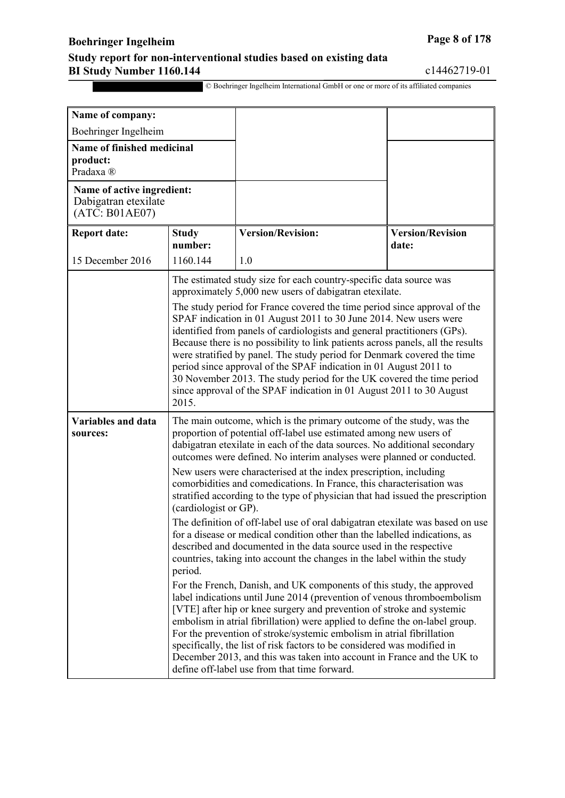## **Boehringer Ingelheim Page 8 of 178**

#### **Study report for non-interventional studies based on existing data BI Study Number 1160.144** c14462719-01

| Name of company:                                                     |                                                                                                                                                                                                                                                                                                                                                                                                                                                                                                                                                                                                                                                                                                                                                                                                |                          |                                  |
|----------------------------------------------------------------------|------------------------------------------------------------------------------------------------------------------------------------------------------------------------------------------------------------------------------------------------------------------------------------------------------------------------------------------------------------------------------------------------------------------------------------------------------------------------------------------------------------------------------------------------------------------------------------------------------------------------------------------------------------------------------------------------------------------------------------------------------------------------------------------------|--------------------------|----------------------------------|
| Boehringer Ingelheim                                                 |                                                                                                                                                                                                                                                                                                                                                                                                                                                                                                                                                                                                                                                                                                                                                                                                |                          |                                  |
| Name of finished medicinal<br>product:<br>Pradaxa ®                  |                                                                                                                                                                                                                                                                                                                                                                                                                                                                                                                                                                                                                                                                                                                                                                                                |                          |                                  |
| Name of active ingredient:<br>Dabigatran etexilate<br>(ATC: B01AE07) |                                                                                                                                                                                                                                                                                                                                                                                                                                                                                                                                                                                                                                                                                                                                                                                                |                          |                                  |
| <b>Report date:</b>                                                  | <b>Study</b><br>number:                                                                                                                                                                                                                                                                                                                                                                                                                                                                                                                                                                                                                                                                                                                                                                        | <b>Version/Revision:</b> | <b>Version/Revision</b><br>date: |
| 15 December 2016                                                     | 1160.144                                                                                                                                                                                                                                                                                                                                                                                                                                                                                                                                                                                                                                                                                                                                                                                       | 1.0                      |                                  |
|                                                                      | The estimated study size for each country-specific data source was<br>approximately 5,000 new users of dabigatran etexilate.<br>The study period for France covered the time period since approval of the<br>SPAF indication in 01 August 2011 to 30 June 2014. New users were<br>identified from panels of cardiologists and general practitioners (GPs).<br>Because there is no possibility to link patients across panels, all the results                                                                                                                                                                                                                                                                                                                                                  |                          |                                  |
|                                                                      | were stratified by panel. The study period for Denmark covered the time<br>period since approval of the SPAF indication in 01 August 2011 to<br>30 November 2013. The study period for the UK covered the time period<br>since approval of the SPAF indication in 01 August 2011 to 30 August<br>2015.                                                                                                                                                                                                                                                                                                                                                                                                                                                                                         |                          |                                  |
| <b>Variables and data</b><br>sources:                                | The main outcome, which is the primary outcome of the study, was the<br>proportion of potential off-label use estimated among new users of<br>dabigatran etexilate in each of the data sources. No additional secondary<br>outcomes were defined. No interim analyses were planned or conducted.<br>New users were characterised at the index prescription, including<br>comorbidities and comedications. In France, this characterisation was<br>stratified according to the type of physician that had issued the prescription<br>(cardiologist or GP).<br>The definition of off-label use of oral dabigatran etexilate was based on use<br>for a disease or medical condition other than the labelled indications, as<br>described and documented in the data source used in the respective |                          |                                  |
|                                                                      | countries, taking into account the changes in the label within the study<br>period.<br>For the French, Danish, and UK components of this study, the approved<br>label indications until June 2014 (prevention of venous thromboembolism<br>[VTE] after hip or knee surgery and prevention of stroke and systemic<br>embolism in atrial fibrillation) were applied to define the on-label group.<br>For the prevention of stroke/systemic embolism in atrial fibrillation<br>specifically, the list of risk factors to be considered was modified in<br>December 2013, and this was taken into account in France and the UK to<br>define off-label use from that time forward.                                                                                                                  |                          |                                  |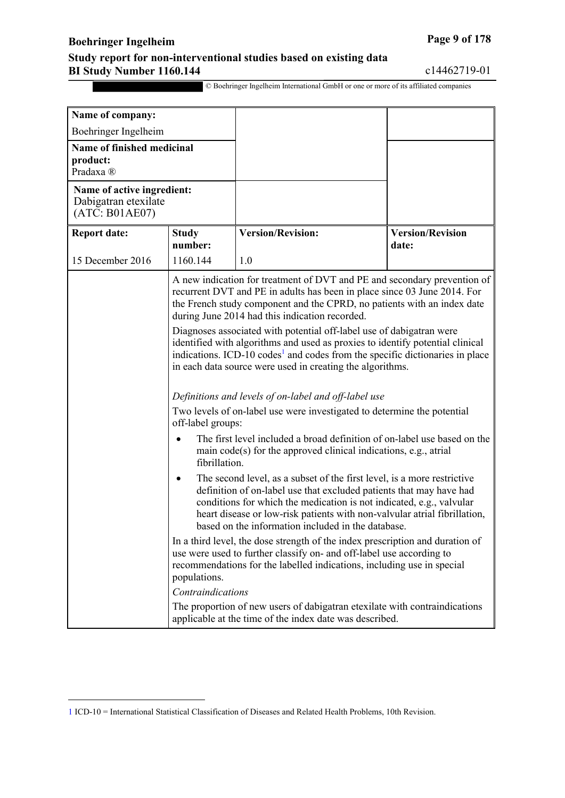## **Boehringer Ingelheim Page 9** of 178

<u>.</u>

#### **Study report for non-interventional studies based on existing data BI Study Number 1160.144** c14462719-01

<span id="page-3-0"></span>

| Name of company:                                                      |                                                                                                                                                                                                                                                                                                                                                                |                                                                                                                                                                                                                                                                                                                |                                  |
|-----------------------------------------------------------------------|----------------------------------------------------------------------------------------------------------------------------------------------------------------------------------------------------------------------------------------------------------------------------------------------------------------------------------------------------------------|----------------------------------------------------------------------------------------------------------------------------------------------------------------------------------------------------------------------------------------------------------------------------------------------------------------|----------------------------------|
| Boehringer Ingelheim                                                  |                                                                                                                                                                                                                                                                                                                                                                |                                                                                                                                                                                                                                                                                                                |                                  |
| <b>Name of finished medicinal</b><br>product:<br>Pradaxa <sup>®</sup> |                                                                                                                                                                                                                                                                                                                                                                |                                                                                                                                                                                                                                                                                                                |                                  |
| Name of active ingredient:<br>Dabigatran etexilate<br>(ATC: B01AE07)  |                                                                                                                                                                                                                                                                                                                                                                |                                                                                                                                                                                                                                                                                                                |                                  |
| <b>Report date:</b>                                                   | <b>Study</b><br>number:                                                                                                                                                                                                                                                                                                                                        | <b>Version/Revision:</b>                                                                                                                                                                                                                                                                                       | <b>Version/Revision</b><br>date: |
| 15 December 2016                                                      | 1160.144                                                                                                                                                                                                                                                                                                                                                       | 1.0                                                                                                                                                                                                                                                                                                            |                                  |
|                                                                       | A new indication for treatment of DVT and PE and secondary prevention of<br>recurrent DVT and PE in adults has been in place since 03 June 2014. For<br>the French study component and the CPRD, no patients with an index date<br>during June 2014 had this indication recorded.                                                                              |                                                                                                                                                                                                                                                                                                                |                                  |
|                                                                       |                                                                                                                                                                                                                                                                                                                                                                | Diagnoses associated with potential off-label use of dabigatran were<br>identified with algorithms and used as proxies to identify potential clinical<br>indications. ICD-10 codes <sup>1</sup> and codes from the specific dictionaries in place<br>in each data source were used in creating the algorithms. |                                  |
|                                                                       |                                                                                                                                                                                                                                                                                                                                                                | Definitions and levels of on-label and off-label use                                                                                                                                                                                                                                                           |                                  |
|                                                                       | off-label groups:                                                                                                                                                                                                                                                                                                                                              | Two levels of on-label use were investigated to determine the potential                                                                                                                                                                                                                                        |                                  |
|                                                                       | fibrillation.                                                                                                                                                                                                                                                                                                                                                  | The first level included a broad definition of on-label use based on the<br>main code(s) for the approved clinical indications, e.g., atrial                                                                                                                                                                   |                                  |
|                                                                       | The second level, as a subset of the first level, is a more restrictive<br>٠<br>definition of on-label use that excluded patients that may have had<br>conditions for which the medication is not indicated, e.g., valvular<br>heart disease or low-risk patients with non-valvular atrial fibrillation,<br>based on the information included in the database. |                                                                                                                                                                                                                                                                                                                |                                  |
| populations.                                                          |                                                                                                                                                                                                                                                                                                                                                                | In a third level, the dose strength of the index prescription and duration of<br>use were used to further classify on- and off-label use according to<br>recommendations for the labelled indications, including use in special                                                                                |                                  |
|                                                                       | Contraindications                                                                                                                                                                                                                                                                                                                                              |                                                                                                                                                                                                                                                                                                                |                                  |
|                                                                       |                                                                                                                                                                                                                                                                                                                                                                | The proportion of new users of dabigatran etexilate with contraindications<br>applicable at the time of the index date was described.                                                                                                                                                                          |                                  |

<span id="page-3-1"></span>[<sup>1</sup>](#page-3-0) ICD-10 = International Statistical Classification of Diseases and Related Health Problems, 10th Revision.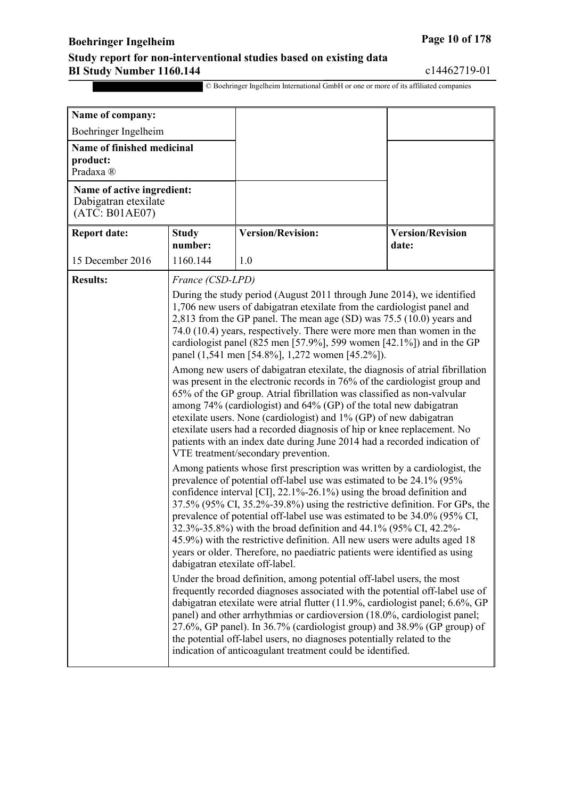## **Boehringer Ingelheim Page 10 of 178**

#### **Study report for non-interventional studies based on existing data BI Study Number 1160.144** c14462719-01

| Name of company:                                                      |                                                                                                                                                                                                                                                                                                                                                                                                                                                                                                                                                                                                                                                                                                                                                                                                                                                                                                                                                                                                                                                                                                                                                                                                                                                                                                                                                                                                                                                                        |                                                                   |                                  |
|-----------------------------------------------------------------------|------------------------------------------------------------------------------------------------------------------------------------------------------------------------------------------------------------------------------------------------------------------------------------------------------------------------------------------------------------------------------------------------------------------------------------------------------------------------------------------------------------------------------------------------------------------------------------------------------------------------------------------------------------------------------------------------------------------------------------------------------------------------------------------------------------------------------------------------------------------------------------------------------------------------------------------------------------------------------------------------------------------------------------------------------------------------------------------------------------------------------------------------------------------------------------------------------------------------------------------------------------------------------------------------------------------------------------------------------------------------------------------------------------------------------------------------------------------------|-------------------------------------------------------------------|----------------------------------|
| Boehringer Ingelheim                                                  |                                                                                                                                                                                                                                                                                                                                                                                                                                                                                                                                                                                                                                                                                                                                                                                                                                                                                                                                                                                                                                                                                                                                                                                                                                                                                                                                                                                                                                                                        |                                                                   |                                  |
| <b>Name of finished medicinal</b><br>product:<br>Pradaxa <sup>®</sup> |                                                                                                                                                                                                                                                                                                                                                                                                                                                                                                                                                                                                                                                                                                                                                                                                                                                                                                                                                                                                                                                                                                                                                                                                                                                                                                                                                                                                                                                                        |                                                                   |                                  |
| Name of active ingredient:<br>Dabigatran etexilate<br>(ATC: B01AE07)  |                                                                                                                                                                                                                                                                                                                                                                                                                                                                                                                                                                                                                                                                                                                                                                                                                                                                                                                                                                                                                                                                                                                                                                                                                                                                                                                                                                                                                                                                        |                                                                   |                                  |
| <b>Report date:</b>                                                   | <b>Study</b><br>number:                                                                                                                                                                                                                                                                                                                                                                                                                                                                                                                                                                                                                                                                                                                                                                                                                                                                                                                                                                                                                                                                                                                                                                                                                                                                                                                                                                                                                                                | <b>Version/Revision:</b>                                          | <b>Version/Revision</b><br>date: |
| 15 December 2016                                                      | 1160.144                                                                                                                                                                                                                                                                                                                                                                                                                                                                                                                                                                                                                                                                                                                                                                                                                                                                                                                                                                                                                                                                                                                                                                                                                                                                                                                                                                                                                                                               | 1.0                                                               |                                  |
| <b>Results:</b>                                                       | France (CSD-LPD)                                                                                                                                                                                                                                                                                                                                                                                                                                                                                                                                                                                                                                                                                                                                                                                                                                                                                                                                                                                                                                                                                                                                                                                                                                                                                                                                                                                                                                                       |                                                                   |                                  |
|                                                                       | During the study period (August 2011 through June 2014), we identified<br>1,706 new users of dabigatran etexilate from the cardiologist panel and<br>2,813 from the GP panel. The mean age (SD) was 75.5 (10.0) years and<br>74.0 (10.4) years, respectively. There were more men than women in the<br>cardiologist panel (825 men [57.9%], 599 women [42.1%]) and in the GP<br>panel (1,541 men [54.8%], 1,272 women [45.2%]).<br>Among new users of dabigatran etexilate, the diagnosis of atrial fibrillation<br>was present in the electronic records in 76% of the cardiologist group and<br>65% of the GP group. Atrial fibrillation was classified as non-valvular                                                                                                                                                                                                                                                                                                                                                                                                                                                                                                                                                                                                                                                                                                                                                                                              |                                                                   |                                  |
|                                                                       |                                                                                                                                                                                                                                                                                                                                                                                                                                                                                                                                                                                                                                                                                                                                                                                                                                                                                                                                                                                                                                                                                                                                                                                                                                                                                                                                                                                                                                                                        | among 74% (cardiologist) and 64% (GP) of the total new dabigatran |                                  |
|                                                                       | etexilate users. None (cardiologist) and 1% (GP) of new dabigatran<br>etexilate users had a recorded diagnosis of hip or knee replacement. No<br>patients with an index date during June 2014 had a recorded indication of<br>VTE treatment/secondary prevention.<br>Among patients whose first prescription was written by a cardiologist, the<br>prevalence of potential off-label use was estimated to be 24.1% (95%<br>confidence interval [CI], 22.1%-26.1%) using the broad definition and<br>37.5% (95% CI, 35.2%-39.8%) using the restrictive definition. For GPs, the<br>prevalence of potential off-label use was estimated to be 34.0% (95% CI,<br>32.3%-35.8%) with the broad definition and 44.1% (95% CI, 42.2%-<br>45.9%) with the restrictive definition. All new users were adults aged 18<br>years or older. Therefore, no paediatric patients were identified as using<br>dabigatran etexilate off-label.<br>Under the broad definition, among potential off-label users, the most<br>frequently recorded diagnoses associated with the potential off-label use of<br>dabigatran etexilate were atrial flutter (11.9%, cardiologist panel; 6.6%, GP<br>panel) and other arrhythmias or cardioversion (18.0%, cardiologist panel;<br>27.6%, GP panel). In 36.7% (cardiologist group) and 38.9% (GP group) of<br>the potential off-label users, no diagnoses potentially related to the<br>indication of anticoagulant treatment could be identified. |                                                                   |                                  |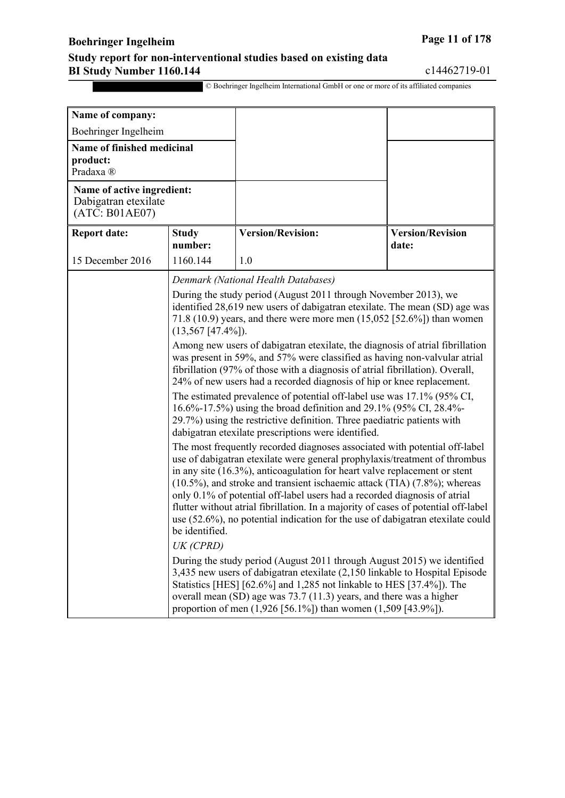## **Boehringer Ingelheim Page 11 of 178**

#### **Study report for non-interventional studies based on existing data BI Study Number 1160.144** c14462719-01

| Name of company:                                                     |                         |                                                                                                                                                                                                                                                                                                                                                                                                                                                                                                                                                                                        |                                  |
|----------------------------------------------------------------------|-------------------------|----------------------------------------------------------------------------------------------------------------------------------------------------------------------------------------------------------------------------------------------------------------------------------------------------------------------------------------------------------------------------------------------------------------------------------------------------------------------------------------------------------------------------------------------------------------------------------------|----------------------------------|
| Boehringer Ingelheim                                                 |                         |                                                                                                                                                                                                                                                                                                                                                                                                                                                                                                                                                                                        |                                  |
| Name of finished medicinal<br>product:<br>Pradaxa <sup>®</sup>       |                         |                                                                                                                                                                                                                                                                                                                                                                                                                                                                                                                                                                                        |                                  |
| Name of active ingredient:<br>Dabigatran etexilate<br>(ATC: B01AE07) |                         |                                                                                                                                                                                                                                                                                                                                                                                                                                                                                                                                                                                        |                                  |
| <b>Report date:</b>                                                  | <b>Study</b><br>number: | <b>Version/Revision:</b>                                                                                                                                                                                                                                                                                                                                                                                                                                                                                                                                                               | <b>Version/Revision</b><br>date: |
| 15 December 2016                                                     | 1160.144                | 1.0                                                                                                                                                                                                                                                                                                                                                                                                                                                                                                                                                                                    |                                  |
|                                                                      |                         | Denmark (National Health Databases)                                                                                                                                                                                                                                                                                                                                                                                                                                                                                                                                                    |                                  |
|                                                                      | $(13,567$ [47.4%]).     | During the study period (August 2011 through November 2013), we<br>identified 28,619 new users of dabigatran etexilate. The mean (SD) age was<br>71.8 (10.9) years, and there were more men $(15,052 \, [52.6\%])$ than women                                                                                                                                                                                                                                                                                                                                                          |                                  |
|                                                                      |                         | Among new users of dabigatran etexilate, the diagnosis of atrial fibrillation<br>was present in 59%, and 57% were classified as having non-valvular atrial<br>fibrillation (97% of those with a diagnosis of atrial fibrillation). Overall,<br>24% of new users had a recorded diagnosis of hip or knee replacement.                                                                                                                                                                                                                                                                   |                                  |
|                                                                      |                         | The estimated prevalence of potential off-label use was 17.1% (95% CI,<br>16.6%-17.5%) using the broad definition and 29.1% (95% CI, 28.4%-<br>29.7%) using the restrictive definition. Three paediatric patients with<br>dabigatran etexilate prescriptions were identified.                                                                                                                                                                                                                                                                                                          |                                  |
|                                                                      | be identified.          | The most frequently recorded diagnoses associated with potential off-label<br>use of dabigatran etexilate were general prophylaxis/treatment of thrombus<br>in any site $(16.3\%)$ , anticoagulation for heart valve replacement or stent<br>$(10.5\%)$ , and stroke and transient ischaemic attack (TIA) $(7.8\%)$ ; whereas<br>only 0.1% of potential off-label users had a recorded diagnosis of atrial<br>flutter without atrial fibrillation. In a majority of cases of potential off-label<br>use $(52.6\%)$ , no potential indication for the use of dabigatran etexilate could |                                  |
| UK (CPRD)                                                            |                         |                                                                                                                                                                                                                                                                                                                                                                                                                                                                                                                                                                                        |                                  |
|                                                                      |                         | During the study period (August 2011 through August 2015) we identified<br>3,435 new users of dabigatran etexilate (2,150 linkable to Hospital Episode<br>Statistics [HES] [62.6%] and 1,285 not linkable to HES [37.4%]). The<br>overall mean (SD) age was 73.7 (11.3) years, and there was a higher<br>proportion of men $(1,926 [56.1\%])$ than women $(1,509 [43.9\%])$ .                                                                                                                                                                                                          |                                  |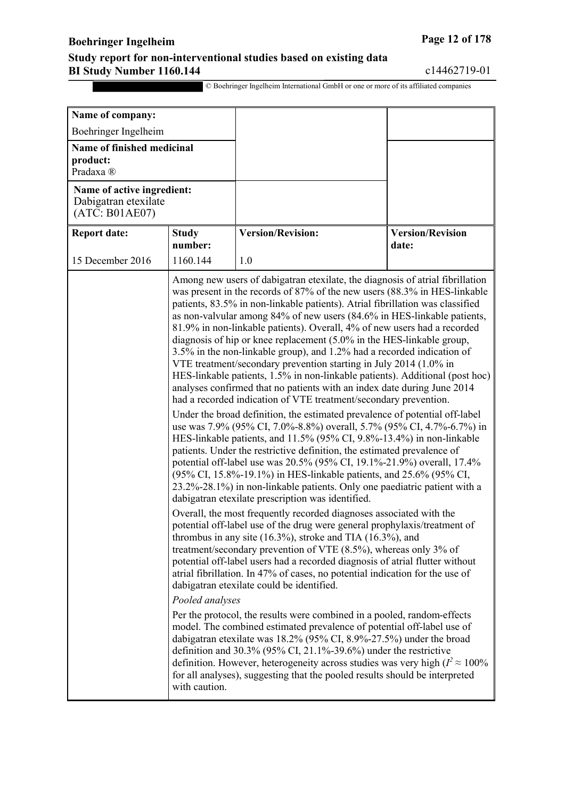## **Boehringer Ingelheim Page 12 of 178**

#### **Study report for non-interventional studies based on existing data BI Study Number 1160.144** c14462719-01

| Name of company:                                                     |                                  |                                                                                                                                                                                                                                                                                                                                                                                                                                                                                                                                                                                                                                                                                                                                                                                                                                                                                                                                                                                                                                                                                                                                                                                                                                                                                                                                                                                                                                                                                                                                                                                                                                                                                                                                                                                                                                                                                                                                                                                                                                                                                                                                                                                                                                                                                                                                                                                                                                                    |                                  |
|----------------------------------------------------------------------|----------------------------------|----------------------------------------------------------------------------------------------------------------------------------------------------------------------------------------------------------------------------------------------------------------------------------------------------------------------------------------------------------------------------------------------------------------------------------------------------------------------------------------------------------------------------------------------------------------------------------------------------------------------------------------------------------------------------------------------------------------------------------------------------------------------------------------------------------------------------------------------------------------------------------------------------------------------------------------------------------------------------------------------------------------------------------------------------------------------------------------------------------------------------------------------------------------------------------------------------------------------------------------------------------------------------------------------------------------------------------------------------------------------------------------------------------------------------------------------------------------------------------------------------------------------------------------------------------------------------------------------------------------------------------------------------------------------------------------------------------------------------------------------------------------------------------------------------------------------------------------------------------------------------------------------------------------------------------------------------------------------------------------------------------------------------------------------------------------------------------------------------------------------------------------------------------------------------------------------------------------------------------------------------------------------------------------------------------------------------------------------------------------------------------------------------------------------------------------------------|----------------------------------|
| Boehringer Ingelheim                                                 |                                  |                                                                                                                                                                                                                                                                                                                                                                                                                                                                                                                                                                                                                                                                                                                                                                                                                                                                                                                                                                                                                                                                                                                                                                                                                                                                                                                                                                                                                                                                                                                                                                                                                                                                                                                                                                                                                                                                                                                                                                                                                                                                                                                                                                                                                                                                                                                                                                                                                                                    |                                  |
| Name of finished medicinal<br>product:<br>Pradaxa ®                  |                                  |                                                                                                                                                                                                                                                                                                                                                                                                                                                                                                                                                                                                                                                                                                                                                                                                                                                                                                                                                                                                                                                                                                                                                                                                                                                                                                                                                                                                                                                                                                                                                                                                                                                                                                                                                                                                                                                                                                                                                                                                                                                                                                                                                                                                                                                                                                                                                                                                                                                    |                                  |
| Name of active ingredient:<br>Dabigatran etexilate<br>(ATC: B01AE07) |                                  |                                                                                                                                                                                                                                                                                                                                                                                                                                                                                                                                                                                                                                                                                                                                                                                                                                                                                                                                                                                                                                                                                                                                                                                                                                                                                                                                                                                                                                                                                                                                                                                                                                                                                                                                                                                                                                                                                                                                                                                                                                                                                                                                                                                                                                                                                                                                                                                                                                                    |                                  |
| <b>Report date:</b>                                                  | <b>Study</b><br>number:          | <b>Version/Revision:</b>                                                                                                                                                                                                                                                                                                                                                                                                                                                                                                                                                                                                                                                                                                                                                                                                                                                                                                                                                                                                                                                                                                                                                                                                                                                                                                                                                                                                                                                                                                                                                                                                                                                                                                                                                                                                                                                                                                                                                                                                                                                                                                                                                                                                                                                                                                                                                                                                                           | <b>Version/Revision</b><br>date: |
| 15 December 2016                                                     | 1160.144                         | 1.0                                                                                                                                                                                                                                                                                                                                                                                                                                                                                                                                                                                                                                                                                                                                                                                                                                                                                                                                                                                                                                                                                                                                                                                                                                                                                                                                                                                                                                                                                                                                                                                                                                                                                                                                                                                                                                                                                                                                                                                                                                                                                                                                                                                                                                                                                                                                                                                                                                                |                                  |
|                                                                      | Pooled analyses<br>with caution. | Among new users of dabigatran etexilate, the diagnosis of atrial fibrillation<br>was present in the records of 87% of the new users (88.3% in HES-linkable<br>patients, 83.5% in non-linkable patients). Atrial fibrillation was classified<br>as non-valvular among 84% of new users (84.6% in HES-linkable patients,<br>81.9% in non-linkable patients). Overall, 4% of new users had a recorded<br>diagnosis of hip or knee replacement (5.0% in the HES-linkable group,<br>3.5% in the non-linkable group), and 1.2% had a recorded indication of<br>VTE treatment/secondary prevention starting in July 2014 (1.0% in<br>HES-linkable patients, 1.5% in non-linkable patients). Additional (post hoc)<br>analyses confirmed that no patients with an index date during June 2014<br>had a recorded indication of VTE treatment/secondary prevention.<br>Under the broad definition, the estimated prevalence of potential off-label<br>use was 7.9% (95% CI, 7.0%-8.8%) overall, 5.7% (95% CI, 4.7%-6.7%) in<br>HES-linkable patients, and 11.5% (95% CI, 9.8%-13.4%) in non-linkable<br>patients. Under the restrictive definition, the estimated prevalence of<br>potential off-label use was 20.5% (95% CI, 19.1%-21.9%) overall, 17.4%<br>(95% CI, 15.8%-19.1%) in HES-linkable patients, and 25.6% (95% CI,<br>23.2%-28.1%) in non-linkable patients. Only one paediatric patient with a<br>dabigatran etexilate prescription was identified.<br>Overall, the most frequently recorded diagnoses associated with the<br>potential off-label use of the drug were general prophylaxis/treatment of<br>thrombus in any site $(16.3\%)$ , stroke and TIA $(16.3\%)$ , and<br>treatment/secondary prevention of VTE $(8.5\%)$ , whereas only 3% of<br>potential off-label users had a recorded diagnosis of atrial flutter without<br>atrial fibrillation. In 47% of cases, no potential indication for the use of<br>dabigatran etexilate could be identified.<br>Per the protocol, the results were combined in a pooled, random-effects<br>model. The combined estimated prevalence of potential off-label use of<br>dabigatran etexilate was 18.2% (95% CI, 8.9%-27.5%) under the broad<br>definition and $30.3\%$ (95% CI, 21.1%-39.6%) under the restrictive<br>definition. However, heterogeneity across studies was very high ( $I^2 \approx 100\%$ )<br>for all analyses), suggesting that the pooled results should be interpreted |                                  |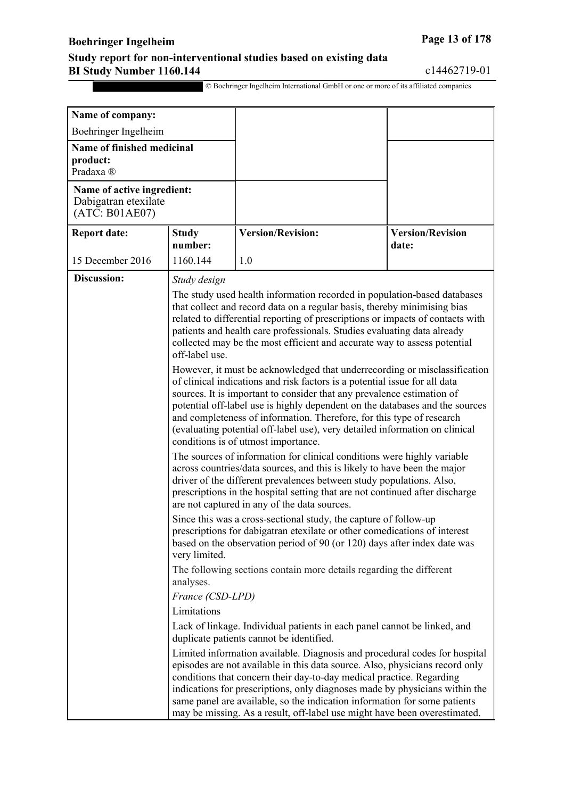## **Boehringer Ingelheim Page 13 of 178**

#### **Study report for non-interventional studies based on existing data BI Study Number 1160.144** c14462719-01

| Name of company:                                                             |                                                                                                                                                                                                                                                                                                                                                             |                                                                                                                                                                                                                                                                                                                                                                                                                                                                                                                  |                                  |
|------------------------------------------------------------------------------|-------------------------------------------------------------------------------------------------------------------------------------------------------------------------------------------------------------------------------------------------------------------------------------------------------------------------------------------------------------|------------------------------------------------------------------------------------------------------------------------------------------------------------------------------------------------------------------------------------------------------------------------------------------------------------------------------------------------------------------------------------------------------------------------------------------------------------------------------------------------------------------|----------------------------------|
| Boehringer Ingelheim                                                         |                                                                                                                                                                                                                                                                                                                                                             |                                                                                                                                                                                                                                                                                                                                                                                                                                                                                                                  |                                  |
| Name of finished medicinal<br>product:<br>Pradaxa ®                          |                                                                                                                                                                                                                                                                                                                                                             |                                                                                                                                                                                                                                                                                                                                                                                                                                                                                                                  |                                  |
| Name of active ingredient:<br>Dabigatran etexilate<br>$(AT\bar{C}: B01AE07)$ |                                                                                                                                                                                                                                                                                                                                                             |                                                                                                                                                                                                                                                                                                                                                                                                                                                                                                                  |                                  |
| <b>Report date:</b>                                                          | <b>Study</b><br>number:                                                                                                                                                                                                                                                                                                                                     | <b>Version/Revision:</b>                                                                                                                                                                                                                                                                                                                                                                                                                                                                                         | <b>Version/Revision</b><br>date: |
| 15 December 2016                                                             | 1160.144                                                                                                                                                                                                                                                                                                                                                    | 1.0                                                                                                                                                                                                                                                                                                                                                                                                                                                                                                              |                                  |
| <b>Discussion:</b>                                                           | Study design                                                                                                                                                                                                                                                                                                                                                |                                                                                                                                                                                                                                                                                                                                                                                                                                                                                                                  |                                  |
|                                                                              | off-label use.                                                                                                                                                                                                                                                                                                                                              | The study used health information recorded in population-based databases<br>that collect and record data on a regular basis, thereby minimising bias<br>related to differential reporting of prescriptions or impacts of contacts with<br>patients and health care professionals. Studies evaluating data already<br>collected may be the most efficient and accurate way to assess potential                                                                                                                    |                                  |
|                                                                              |                                                                                                                                                                                                                                                                                                                                                             | However, it must be acknowledged that underrecording or misclassification<br>of clinical indications and risk factors is a potential issue for all data<br>sources. It is important to consider that any prevalence estimation of<br>potential off-label use is highly dependent on the databases and the sources<br>and completeness of information. Therefore, for this type of research<br>(evaluating potential off-label use), very detailed information on clinical<br>conditions is of utmost importance. |                                  |
|                                                                              | The sources of information for clinical conditions were highly variable<br>across countries/data sources, and this is likely to have been the major<br>driver of the different prevalences between study populations. Also,<br>prescriptions in the hospital setting that are not continued after discharge<br>are not captured in any of the data sources. |                                                                                                                                                                                                                                                                                                                                                                                                                                                                                                                  |                                  |
|                                                                              | Since this was a cross-sectional study, the capture of follow-up<br>prescriptions for dabigatran etexilate or other comedications of interest<br>based on the observation period of 90 (or 120) days after index date was<br>very limited.                                                                                                                  |                                                                                                                                                                                                                                                                                                                                                                                                                                                                                                                  |                                  |
|                                                                              | analyses.                                                                                                                                                                                                                                                                                                                                                   | The following sections contain more details regarding the different                                                                                                                                                                                                                                                                                                                                                                                                                                              |                                  |
|                                                                              | France (CSD-LPD)                                                                                                                                                                                                                                                                                                                                            |                                                                                                                                                                                                                                                                                                                                                                                                                                                                                                                  |                                  |
|                                                                              | Limitations                                                                                                                                                                                                                                                                                                                                                 |                                                                                                                                                                                                                                                                                                                                                                                                                                                                                                                  |                                  |
|                                                                              |                                                                                                                                                                                                                                                                                                                                                             | Lack of linkage. Individual patients in each panel cannot be linked, and<br>duplicate patients cannot be identified.                                                                                                                                                                                                                                                                                                                                                                                             |                                  |
|                                                                              |                                                                                                                                                                                                                                                                                                                                                             | Limited information available. Diagnosis and procedural codes for hospital<br>episodes are not available in this data source. Also, physicians record only<br>conditions that concern their day-to-day medical practice. Regarding<br>indications for prescriptions, only diagnoses made by physicians within the<br>same panel are available, so the indication information for some patients<br>may be missing. As a result, off-label use might have been overestimated.                                      |                                  |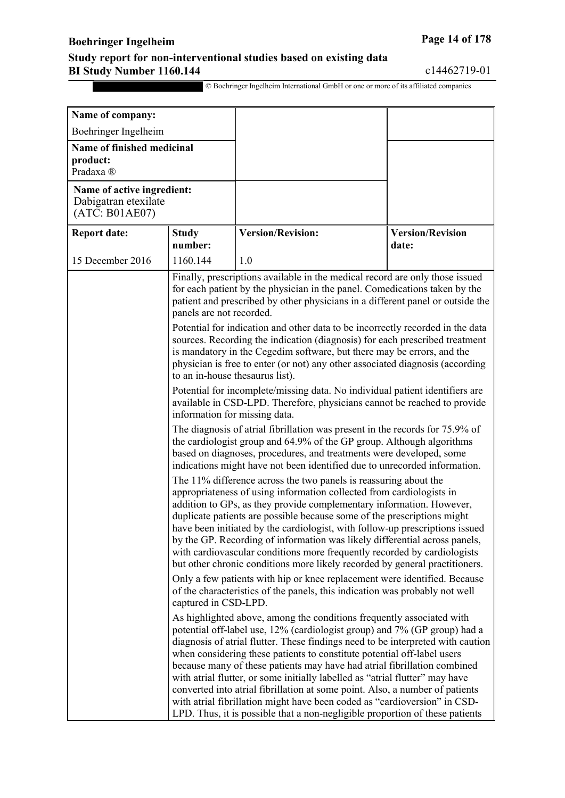## **Boehringer Ingelheim Page 14 of 178**

#### **Study report for non-interventional studies based on existing data BI Study Number 1160.144** c14462719-01

| Name of company:                                                     |                                                                                                                                                                                                                                                                                                                                                                                                                                                                                                                                                                                                                                         |                                                                                                                                                                                                                                                                                                                                                                                                                                                                                                                                                                                                                                                                                                                           |                                  |  |
|----------------------------------------------------------------------|-----------------------------------------------------------------------------------------------------------------------------------------------------------------------------------------------------------------------------------------------------------------------------------------------------------------------------------------------------------------------------------------------------------------------------------------------------------------------------------------------------------------------------------------------------------------------------------------------------------------------------------------|---------------------------------------------------------------------------------------------------------------------------------------------------------------------------------------------------------------------------------------------------------------------------------------------------------------------------------------------------------------------------------------------------------------------------------------------------------------------------------------------------------------------------------------------------------------------------------------------------------------------------------------------------------------------------------------------------------------------------|----------------------------------|--|
| Boehringer Ingelheim                                                 |                                                                                                                                                                                                                                                                                                                                                                                                                                                                                                                                                                                                                                         |                                                                                                                                                                                                                                                                                                                                                                                                                                                                                                                                                                                                                                                                                                                           |                                  |  |
| Name of finished medicinal<br>product:<br>Pradaxa <sup>®</sup>       |                                                                                                                                                                                                                                                                                                                                                                                                                                                                                                                                                                                                                                         |                                                                                                                                                                                                                                                                                                                                                                                                                                                                                                                                                                                                                                                                                                                           |                                  |  |
| Name of active ingredient:<br>Dabigatran etexilate<br>(ATC: B01AE07) |                                                                                                                                                                                                                                                                                                                                                                                                                                                                                                                                                                                                                                         |                                                                                                                                                                                                                                                                                                                                                                                                                                                                                                                                                                                                                                                                                                                           |                                  |  |
| <b>Report date:</b>                                                  | <b>Study</b><br>number:                                                                                                                                                                                                                                                                                                                                                                                                                                                                                                                                                                                                                 | <b>Version/Revision:</b>                                                                                                                                                                                                                                                                                                                                                                                                                                                                                                                                                                                                                                                                                                  | <b>Version/Revision</b><br>date: |  |
| 15 December 2016                                                     | 1160.144                                                                                                                                                                                                                                                                                                                                                                                                                                                                                                                                                                                                                                | 1.0                                                                                                                                                                                                                                                                                                                                                                                                                                                                                                                                                                                                                                                                                                                       |                                  |  |
|                                                                      | Finally, prescriptions available in the medical record are only those issued<br>for each patient by the physician in the panel. Comedications taken by the<br>patient and prescribed by other physicians in a different panel or outside the<br>panels are not recorded.<br>Potential for indication and other data to be incorrectly recorded in the data<br>sources. Recording the indication (diagnosis) for each prescribed treatment<br>is mandatory in the Cegedim software, but there may be errors, and the<br>physician is free to enter (or not) any other associated diagnosis (according<br>to an in-house thesaurus list). |                                                                                                                                                                                                                                                                                                                                                                                                                                                                                                                                                                                                                                                                                                                           |                                  |  |
|                                                                      | Potential for incomplete/missing data. No individual patient identifiers are<br>available in CSD-LPD. Therefore, physicians cannot be reached to provide<br>information for missing data.<br>The diagnosis of atrial fibrillation was present in the records for 75.9% of                                                                                                                                                                                                                                                                                                                                                               |                                                                                                                                                                                                                                                                                                                                                                                                                                                                                                                                                                                                                                                                                                                           |                                  |  |
|                                                                      |                                                                                                                                                                                                                                                                                                                                                                                                                                                                                                                                                                                                                                         | the cardiologist group and 64.9% of the GP group. Although algorithms<br>based on diagnoses, procedures, and treatments were developed, some<br>indications might have not been identified due to unrecorded information.                                                                                                                                                                                                                                                                                                                                                                                                                                                                                                 |                                  |  |
|                                                                      |                                                                                                                                                                                                                                                                                                                                                                                                                                                                                                                                                                                                                                         | The 11% difference across the two panels is reassuring about the<br>appropriateness of using information collected from cardiologists in<br>addition to GPs, as they provide complementary information. However,<br>duplicate patients are possible because some of the prescriptions might<br>have been initiated by the cardiologist, with follow-up prescriptions issued<br>by the GP. Recording of information was likely differential across panels,<br>with cardiovascular conditions more frequently recorded by cardiologists<br>but other chronic conditions more likely recorded by general practitioners.                                                                                                      |                                  |  |
|                                                                      | Only a few patients with hip or knee replacement were identified. Because<br>of the characteristics of the panels, this indication was probably not well<br>captured in CSD-LPD.                                                                                                                                                                                                                                                                                                                                                                                                                                                        |                                                                                                                                                                                                                                                                                                                                                                                                                                                                                                                                                                                                                                                                                                                           |                                  |  |
|                                                                      |                                                                                                                                                                                                                                                                                                                                                                                                                                                                                                                                                                                                                                         | As highlighted above, among the conditions frequently associated with<br>potential off-label use, 12% (cardiologist group) and 7% (GP group) had a<br>diagnosis of atrial flutter. These findings need to be interpreted with caution<br>when considering these patients to constitute potential off-label users<br>because many of these patients may have had atrial fibrillation combined<br>with atrial flutter, or some initially labelled as "atrial flutter" may have<br>converted into atrial fibrillation at some point. Also, a number of patients<br>with atrial fibrillation might have been coded as "cardioversion" in CSD-<br>LPD. Thus, it is possible that a non-negligible proportion of these patients |                                  |  |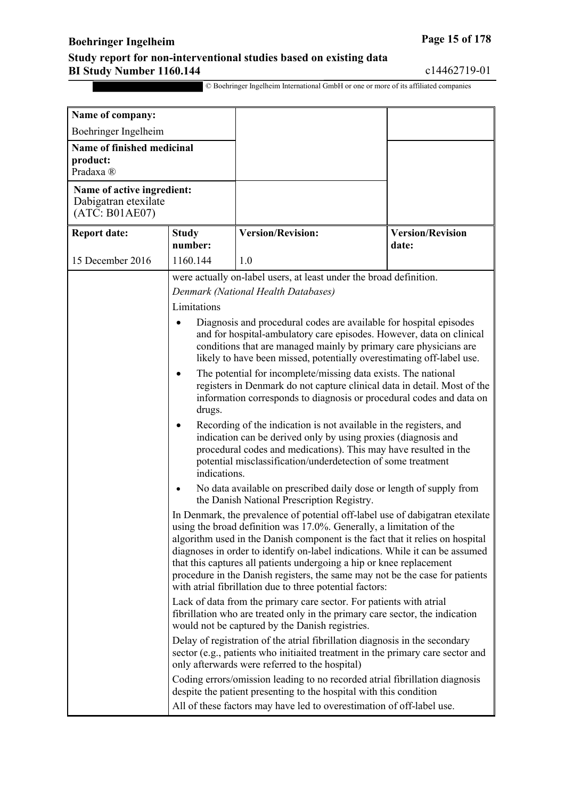## **Boehringer Ingelheim Page 15** of 178

#### **Study report for non-interventional studies based on existing data BI Study Number 1160.144** c14462719-01

| Name of company:                                                     |                                                                                                                                                                                                                                                                                                                                                                                                                                                                                                                                            |                                                                                                                                                                                                                                                                                          |                                  |
|----------------------------------------------------------------------|--------------------------------------------------------------------------------------------------------------------------------------------------------------------------------------------------------------------------------------------------------------------------------------------------------------------------------------------------------------------------------------------------------------------------------------------------------------------------------------------------------------------------------------------|------------------------------------------------------------------------------------------------------------------------------------------------------------------------------------------------------------------------------------------------------------------------------------------|----------------------------------|
| Boehringer Ingelheim                                                 |                                                                                                                                                                                                                                                                                                                                                                                                                                                                                                                                            |                                                                                                                                                                                                                                                                                          |                                  |
| Name of finished medicinal<br>product:<br>Pradaxa ®                  |                                                                                                                                                                                                                                                                                                                                                                                                                                                                                                                                            |                                                                                                                                                                                                                                                                                          |                                  |
| Name of active ingredient:<br>Dabigatran etexilate<br>(ATC: B01AE07) |                                                                                                                                                                                                                                                                                                                                                                                                                                                                                                                                            |                                                                                                                                                                                                                                                                                          |                                  |
| <b>Report date:</b>                                                  | <b>Study</b><br>number:                                                                                                                                                                                                                                                                                                                                                                                                                                                                                                                    | <b>Version/Revision:</b>                                                                                                                                                                                                                                                                 | <b>Version/Revision</b><br>date: |
| 15 December 2016                                                     | 1160.144                                                                                                                                                                                                                                                                                                                                                                                                                                                                                                                                   | 1.0                                                                                                                                                                                                                                                                                      |                                  |
|                                                                      |                                                                                                                                                                                                                                                                                                                                                                                                                                                                                                                                            | were actually on-label users, at least under the broad definition.                                                                                                                                                                                                                       |                                  |
|                                                                      |                                                                                                                                                                                                                                                                                                                                                                                                                                                                                                                                            | Denmark (National Health Databases)                                                                                                                                                                                                                                                      |                                  |
|                                                                      | Limitations                                                                                                                                                                                                                                                                                                                                                                                                                                                                                                                                |                                                                                                                                                                                                                                                                                          |                                  |
|                                                                      |                                                                                                                                                                                                                                                                                                                                                                                                                                                                                                                                            | Diagnosis and procedural codes are available for hospital episodes<br>and for hospital-ambulatory care episodes. However, data on clinical<br>conditions that are managed mainly by primary care physicians are<br>likely to have been missed, potentially overestimating off-label use. |                                  |
|                                                                      | drugs.                                                                                                                                                                                                                                                                                                                                                                                                                                                                                                                                     | The potential for incomplete/missing data exists. The national<br>registers in Denmark do not capture clinical data in detail. Most of the<br>information corresponds to diagnosis or procedural codes and data on                                                                       |                                  |
|                                                                      | $\bullet$<br>indications.                                                                                                                                                                                                                                                                                                                                                                                                                                                                                                                  | Recording of the indication is not available in the registers, and<br>indication can be derived only by using proxies (diagnosis and<br>procedural codes and medications). This may have resulted in the<br>potential misclassification/underdetection of some treatment                 |                                  |
|                                                                      | ٠                                                                                                                                                                                                                                                                                                                                                                                                                                                                                                                                          | No data available on prescribed daily dose or length of supply from<br>the Danish National Prescription Registry.                                                                                                                                                                        |                                  |
|                                                                      | In Denmark, the prevalence of potential off-label use of dabigatran etexilate<br>using the broad definition was 17.0%. Generally, a limitation of the<br>algorithm used in the Danish component is the fact that it relies on hospital<br>diagnoses in order to identify on-label indications. While it can be assumed<br>that this captures all patients undergoing a hip or knee replacement<br>procedure in the Danish registers, the same may not be the case for patients<br>with atrial fibrillation due to three potential factors: |                                                                                                                                                                                                                                                                                          |                                  |
|                                                                      | Lack of data from the primary care sector. For patients with atrial<br>fibrillation who are treated only in the primary care sector, the indication<br>would not be captured by the Danish registries.                                                                                                                                                                                                                                                                                                                                     |                                                                                                                                                                                                                                                                                          |                                  |
|                                                                      |                                                                                                                                                                                                                                                                                                                                                                                                                                                                                                                                            | Delay of registration of the atrial fibrillation diagnosis in the secondary<br>sector (e.g., patients who initiaited treatment in the primary care sector and<br>only afterwards were referred to the hospital)                                                                          |                                  |
|                                                                      |                                                                                                                                                                                                                                                                                                                                                                                                                                                                                                                                            | Coding errors/omission leading to no recorded atrial fibrillation diagnosis<br>despite the patient presenting to the hospital with this condition<br>All of these factors may have led to overestimation of off-label use.                                                               |                                  |
|                                                                      |                                                                                                                                                                                                                                                                                                                                                                                                                                                                                                                                            |                                                                                                                                                                                                                                                                                          |                                  |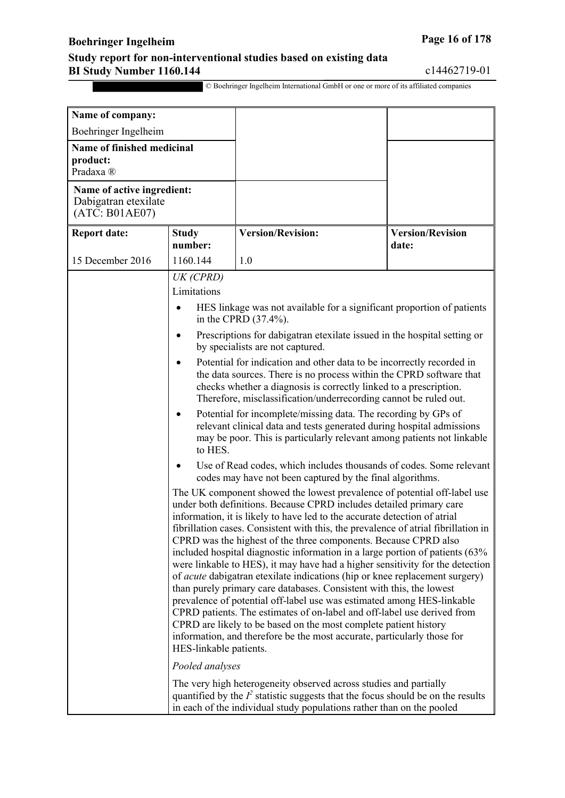## **Boehringer Ingelheim Page 16** of 178

#### **Study report for non-interventional studies based on existing data BI Study Number 1160.144** c14462719-01

| Name of company:                                                     |                         |                                                                                                                                                                                                                                                                                                                                                                                                                                                                                                                                                                                                                                                                                                                                                                                                                                                                                                                                                                                                                                                    |                                  |
|----------------------------------------------------------------------|-------------------------|----------------------------------------------------------------------------------------------------------------------------------------------------------------------------------------------------------------------------------------------------------------------------------------------------------------------------------------------------------------------------------------------------------------------------------------------------------------------------------------------------------------------------------------------------------------------------------------------------------------------------------------------------------------------------------------------------------------------------------------------------------------------------------------------------------------------------------------------------------------------------------------------------------------------------------------------------------------------------------------------------------------------------------------------------|----------------------------------|
| Boehringer Ingelheim                                                 |                         |                                                                                                                                                                                                                                                                                                                                                                                                                                                                                                                                                                                                                                                                                                                                                                                                                                                                                                                                                                                                                                                    |                                  |
| Name of finished medicinal<br>product:<br>Pradaxa <sup>®</sup>       |                         |                                                                                                                                                                                                                                                                                                                                                                                                                                                                                                                                                                                                                                                                                                                                                                                                                                                                                                                                                                                                                                                    |                                  |
| Name of active ingredient:<br>Dabigatran etexilate<br>(ATC: B01AE07) |                         |                                                                                                                                                                                                                                                                                                                                                                                                                                                                                                                                                                                                                                                                                                                                                                                                                                                                                                                                                                                                                                                    |                                  |
| <b>Report date:</b>                                                  | <b>Study</b><br>number: | <b>Version/Revision:</b>                                                                                                                                                                                                                                                                                                                                                                                                                                                                                                                                                                                                                                                                                                                                                                                                                                                                                                                                                                                                                           | <b>Version/Revision</b><br>date: |
| 15 December 2016                                                     | 1160.144                | 1.0                                                                                                                                                                                                                                                                                                                                                                                                                                                                                                                                                                                                                                                                                                                                                                                                                                                                                                                                                                                                                                                |                                  |
|                                                                      | UK (CPRD)               |                                                                                                                                                                                                                                                                                                                                                                                                                                                                                                                                                                                                                                                                                                                                                                                                                                                                                                                                                                                                                                                    |                                  |
|                                                                      | Limitations             |                                                                                                                                                                                                                                                                                                                                                                                                                                                                                                                                                                                                                                                                                                                                                                                                                                                                                                                                                                                                                                                    |                                  |
|                                                                      | $\bullet$               | HES linkage was not available for a significant proportion of patients<br>in the CPRD (37.4%).                                                                                                                                                                                                                                                                                                                                                                                                                                                                                                                                                                                                                                                                                                                                                                                                                                                                                                                                                     |                                  |
|                                                                      | ٠                       | Prescriptions for dabigatran etexilate issued in the hospital setting or<br>by specialists are not captured.                                                                                                                                                                                                                                                                                                                                                                                                                                                                                                                                                                                                                                                                                                                                                                                                                                                                                                                                       |                                  |
|                                                                      | ٠                       | Potential for indication and other data to be incorrectly recorded in<br>the data sources. There is no process within the CPRD software that<br>checks whether a diagnosis is correctly linked to a prescription.<br>Therefore, misclassification/underrecording cannot be ruled out.                                                                                                                                                                                                                                                                                                                                                                                                                                                                                                                                                                                                                                                                                                                                                              |                                  |
| $\bullet$<br>to HES.                                                 |                         | Potential for incomplete/missing data. The recording by GPs of<br>relevant clinical data and tests generated during hospital admissions<br>may be poor. This is particularly relevant among patients not linkable                                                                                                                                                                                                                                                                                                                                                                                                                                                                                                                                                                                                                                                                                                                                                                                                                                  |                                  |
|                                                                      |                         | Use of Read codes, which includes thousands of codes. Some relevant<br>codes may have not been captured by the final algorithms.                                                                                                                                                                                                                                                                                                                                                                                                                                                                                                                                                                                                                                                                                                                                                                                                                                                                                                                   |                                  |
|                                                                      |                         | The UK component showed the lowest prevalence of potential off-label use<br>under both definitions. Because CPRD includes detailed primary care<br>information, it is likely to have led to the accurate detection of atrial<br>fibrillation cases. Consistent with this, the prevalence of atrial fibrillation in<br>CPRD was the highest of the three components. Because CPRD also<br>included hospital diagnostic information in a large portion of patients (63%<br>were linkable to HES), it may have had a higher sensitivity for the detection<br>of <i>acute</i> dabigatran etexilate indications (hip or knee replacement surgery)<br>than purely primary care databases. Consistent with this, the lowest<br>prevalence of potential off-label use was estimated among HES-linkable<br>CPRD patients. The estimates of on-label and off-label use derived from<br>CPRD are likely to be based on the most complete patient history<br>information, and therefore be the most accurate, particularly those for<br>HES-linkable patients. |                                  |
|                                                                      | Pooled analyses         |                                                                                                                                                                                                                                                                                                                                                                                                                                                                                                                                                                                                                                                                                                                                                                                                                                                                                                                                                                                                                                                    |                                  |
|                                                                      |                         | The very high heterogeneity observed across studies and partially<br>quantified by the $I^2$ statistic suggests that the focus should be on the results<br>in each of the individual study populations rather than on the pooled                                                                                                                                                                                                                                                                                                                                                                                                                                                                                                                                                                                                                                                                                                                                                                                                                   |                                  |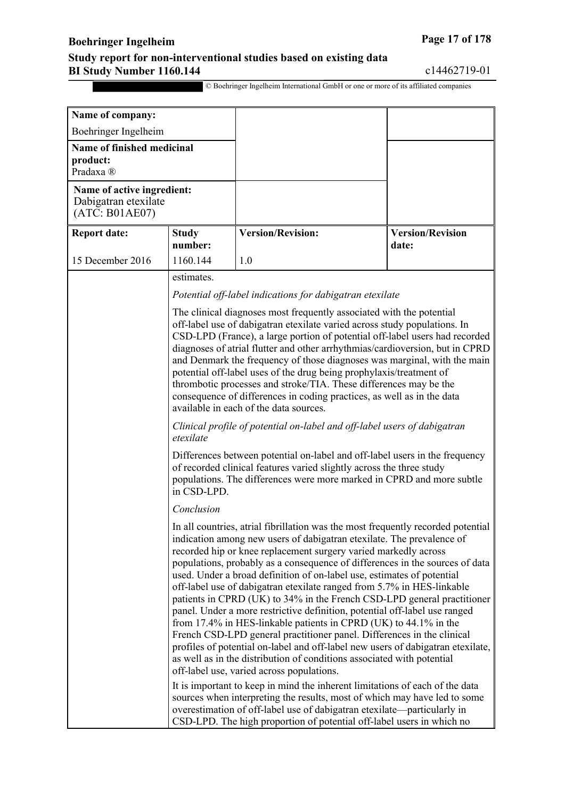### **Boehringer Ingelheim Page 17 of 178**

#### **Study report for non-interventional studies based on existing data BI Study Number 1160.144** c14462719-01

© Boehringer Ingelheim International GmbH or one or more of its affiliated companies

**Name of company:** Boehringer Ingelheim **Name of finished medicinal product:** Pradaxa ® **Name of active ingredient:** Dabigatran etexilate (ATC: B01AE07) **Report date: Study number: Version/Revision: Version/Revision date:** 15 December 2016 | 1160.144 | 1.0 estimates. *Potential off-label indications for dabigatran etexilate* The clinical diagnoses most frequently associated with the potential off-label use of dabigatran etexilate varied across study populations. In CSD-LPD (France), a large portion of potential off-label users had recorded diagnoses of atrial flutter and other arrhythmias/cardioversion, but in CPRD and Denmark the frequency of those diagnoses was marginal, with the main potential off-label uses of the drug being prophylaxis/treatment of thrombotic processes and stroke/TIA. These differences may be the consequence of differences in coding practices, as well as in the data available in each of the data sources. *Clinical profile of potential on-label and off-label users of dabigatran etexilate* Differences between potential on-label and off-label users in the frequency of recorded clinical features varied slightly across the three study populations. The differences were more marked in CPRD and more subtle in CSD-LPD. *Conclusion* In all countries, atrial fibrillation was the most frequently recorded potential indication among new users of dabigatran etexilate. The prevalence of recorded hip or knee replacement surgery varied markedly across populations, probably as a consequence of differences in the sources of data used. Under a broad definition of on-label use, estimates of potential off-label use of dabigatran etexilate ranged from 5.7% in HES-linkable patients in CPRD (UK) to 34% in the French CSD-LPD general practitioner panel. Under a more restrictive definition, potential off-label use ranged from 17.4% in HES-linkable patients in CPRD (UK) to 44.1% in the French CSD-LPD general practitioner panel. Differences in the clinical profiles of potential on-label and off-label new users of dabigatran etexilate, as well as in the distribution of conditions associated with potential off-label use, varied across populations. It is important to keep in mind the inherent limitations of each of the data sources when interpreting the results, most of which may have led to some overestimation of off-label use of dabigatran etexilate—particularly in CSD-LPD. The high proportion of potential off-label users in which no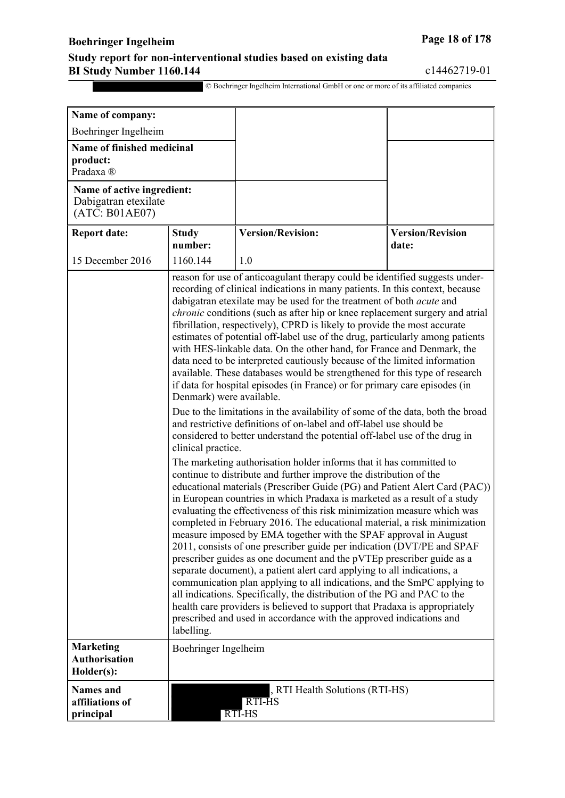## **Boehringer Ingelheim Page 18 of 178**

#### **Study report for non-interventional studies based on existing data BI Study Number 1160.144** c14462719-01

| Name of company:                                                     |                                                                   |                                                                                                                                                                                                                                                                                                                                                                                                                                                                                                                                                                                                                                                                                                                                                                                                                                                                                                                                                                                                                                                                                                                                                                                                                                                                                                                                                                                                                                                                                                                                                                                                                                                                                                                                                                                                                                                                                                                                                                                                                                                                                                                                          |                                  |
|----------------------------------------------------------------------|-------------------------------------------------------------------|------------------------------------------------------------------------------------------------------------------------------------------------------------------------------------------------------------------------------------------------------------------------------------------------------------------------------------------------------------------------------------------------------------------------------------------------------------------------------------------------------------------------------------------------------------------------------------------------------------------------------------------------------------------------------------------------------------------------------------------------------------------------------------------------------------------------------------------------------------------------------------------------------------------------------------------------------------------------------------------------------------------------------------------------------------------------------------------------------------------------------------------------------------------------------------------------------------------------------------------------------------------------------------------------------------------------------------------------------------------------------------------------------------------------------------------------------------------------------------------------------------------------------------------------------------------------------------------------------------------------------------------------------------------------------------------------------------------------------------------------------------------------------------------------------------------------------------------------------------------------------------------------------------------------------------------------------------------------------------------------------------------------------------------------------------------------------------------------------------------------------------------|----------------------------------|
| Boehringer Ingelheim                                                 |                                                                   |                                                                                                                                                                                                                                                                                                                                                                                                                                                                                                                                                                                                                                                                                                                                                                                                                                                                                                                                                                                                                                                                                                                                                                                                                                                                                                                                                                                                                                                                                                                                                                                                                                                                                                                                                                                                                                                                                                                                                                                                                                                                                                                                          |                                  |
| Name of finished medicinal<br>product:<br>Pradaxa <sup>®</sup>       |                                                                   |                                                                                                                                                                                                                                                                                                                                                                                                                                                                                                                                                                                                                                                                                                                                                                                                                                                                                                                                                                                                                                                                                                                                                                                                                                                                                                                                                                                                                                                                                                                                                                                                                                                                                                                                                                                                                                                                                                                                                                                                                                                                                                                                          |                                  |
| Name of active ingredient:<br>Dabigatran etexilate<br>(ATC: B01AE07) |                                                                   |                                                                                                                                                                                                                                                                                                                                                                                                                                                                                                                                                                                                                                                                                                                                                                                                                                                                                                                                                                                                                                                                                                                                                                                                                                                                                                                                                                                                                                                                                                                                                                                                                                                                                                                                                                                                                                                                                                                                                                                                                                                                                                                                          |                                  |
| <b>Report date:</b>                                                  | <b>Study</b><br>number:                                           | <b>Version/Revision:</b>                                                                                                                                                                                                                                                                                                                                                                                                                                                                                                                                                                                                                                                                                                                                                                                                                                                                                                                                                                                                                                                                                                                                                                                                                                                                                                                                                                                                                                                                                                                                                                                                                                                                                                                                                                                                                                                                                                                                                                                                                                                                                                                 | <b>Version/Revision</b><br>date: |
| 15 December 2016                                                     | 1160.144                                                          | 1.0                                                                                                                                                                                                                                                                                                                                                                                                                                                                                                                                                                                                                                                                                                                                                                                                                                                                                                                                                                                                                                                                                                                                                                                                                                                                                                                                                                                                                                                                                                                                                                                                                                                                                                                                                                                                                                                                                                                                                                                                                                                                                                                                      |                                  |
|                                                                      | Denmark) were available.<br>clinical practice.                    | reason for use of anticoagulant therapy could be identified suggests under-<br>recording of clinical indications in many patients. In this context, because<br>dabigatran etexilate may be used for the treatment of both <i>acute</i> and<br><i>chronic</i> conditions (such as after hip or knee replacement surgery and atrial<br>fibrillation, respectively), CPRD is likely to provide the most accurate<br>estimates of potential off-label use of the drug, particularly among patients<br>with HES-linkable data. On the other hand, for France and Denmark, the<br>data need to be interpreted cautiously because of the limited information<br>available. These databases would be strengthened for this type of research<br>if data for hospital episodes (in France) or for primary care episodes (in<br>Due to the limitations in the availability of some of the data, both the broad<br>and restrictive definitions of on-label and off-label use should be<br>considered to better understand the potential off-label use of the drug in<br>The marketing authorisation holder informs that it has committed to<br>continue to distribute and further improve the distribution of the<br>educational materials (Prescriber Guide (PG) and Patient Alert Card (PAC))<br>in European countries in which Pradaxa is marketed as a result of a study<br>evaluating the effectiveness of this risk minimization measure which was<br>completed in February 2016. The educational material, a risk minimization<br>measure imposed by EMA together with the SPAF approval in August<br>2011, consists of one prescriber guide per indication (DVT/PE and SPAF<br>prescriber guides as one document and the pVTEp prescriber guide as a<br>separate document), a patient alert card applying to all indications, a<br>communication plan applying to all indications, and the SmPC applying to<br>all indications. Specifically, the distribution of the PG and PAC to the<br>health care providers is believed to support that Pradaxa is appropriately<br>prescribed and used in accordance with the approved indications and |                                  |
| <b>Marketing</b><br><b>Authorisation</b><br>Holder(s):               | labelling.<br>Boehringer Ingelheim                                |                                                                                                                                                                                                                                                                                                                                                                                                                                                                                                                                                                                                                                                                                                                                                                                                                                                                                                                                                                                                                                                                                                                                                                                                                                                                                                                                                                                                                                                                                                                                                                                                                                                                                                                                                                                                                                                                                                                                                                                                                                                                                                                                          |                                  |
| <b>Names</b> and<br>affiliations of<br>principal                     | , RTI Health Solutions (RTI-HS)<br><b>RTI-HS</b><br><b>RTI-HS</b> |                                                                                                                                                                                                                                                                                                                                                                                                                                                                                                                                                                                                                                                                                                                                                                                                                                                                                                                                                                                                                                                                                                                                                                                                                                                                                                                                                                                                                                                                                                                                                                                                                                                                                                                                                                                                                                                                                                                                                                                                                                                                                                                                          |                                  |